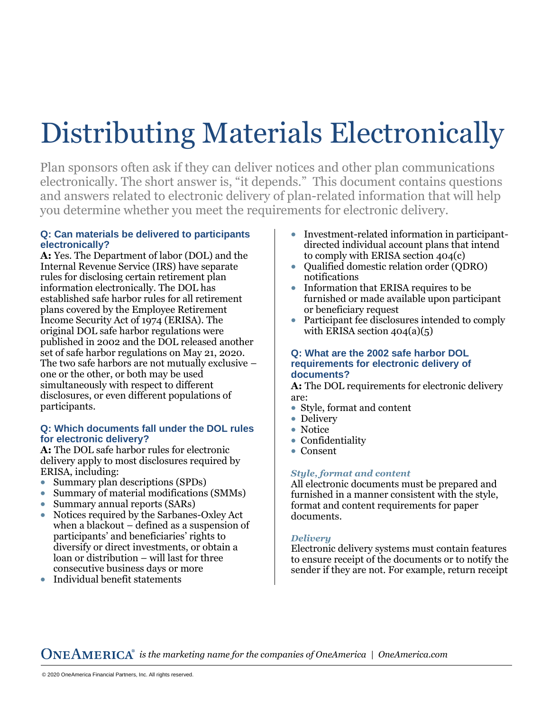# Distributing Materials Electronically

Plan sponsors often ask if they can deliver notices and other plan communications electronically. The short answer is, "it depends." This document contains questions and answers related to electronic delivery of plan-related information that will help you determine whether you meet the requirements for electronic delivery.

# **Q: Can materials be delivered to participants electronically?**

**A:** Yes. The Department of labor (DOL) and the Internal Revenue Service (IRS) have separate rules for disclosing certain retirement plan information electronically. The DOL has established safe harbor rules for all retirement plans covered by the Employee Retirement Income Security Act of 1974 (ERISA). The original DOL safe harbor regulations were published in 2002 and the DOL released another set of safe harbor regulations on May 21, 2020. The two safe harbors are not mutually exclusive – one or the other, or both may be used simultaneously with respect to different disclosures, or even different populations of participants.

## **Q: Which documents fall under the DOL rules for electronic delivery?**

**A:** The DOL safe harbor rules for electronic delivery apply to most disclosures required by ERISA, including:

- Summary plan descriptions (SPDs)
- Summary of material modifications (SMMs)
- Summary annual reports (SARs)
- Notices required by the Sarbanes-Oxley Act when a blackout – defined as a suspension of participants' and beneficiaries' rights to diversify or direct investments, or obtain a loan or distribution – will last for three consecutive business days or more
- Individual benefit statements
- Investment-related information in participantdirected individual account plans that intend to comply with ERISA section 404(c)
- Qualified domestic relation order (QDRO) notifications
- Information that ERISA requires to be furnished or made available upon participant or beneficiary request
- Participant fee disclosures intended to comply with ERISA section  $404(a)(5)$

## **Q: What are the 2002 safe harbor DOL requirements for electronic delivery of documents?**

**A:** The DOL requirements for electronic delivery are:

- Style, format and content
- Delivery
- Notice
- Confidentiality
- Consent

# *Style, format and content*

All electronic documents must be prepared and furnished in a manner consistent with the style, format and content requirements for paper documents.

# *Delivery*

Electronic delivery systems must contain features to ensure receipt of the documents or to notify the sender if they are not. For example, return receipt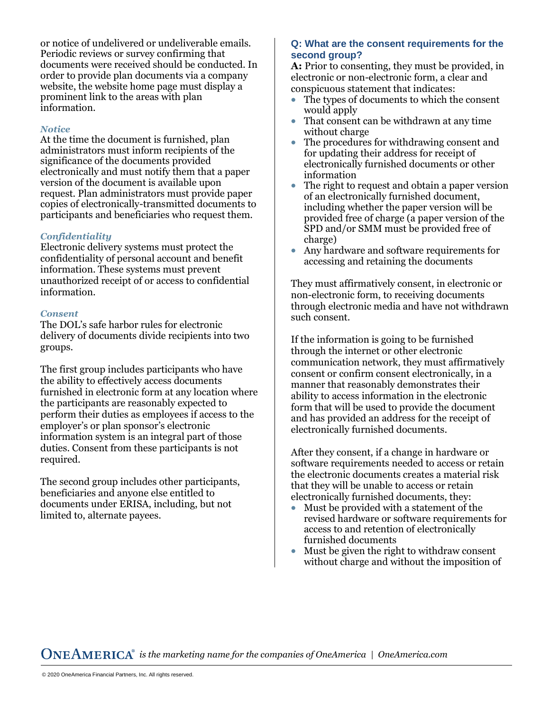or notice of undelivered or undeliverable emails. Periodic reviews or survey confirming that documents were received should be conducted. In order to provide plan documents via a company website, the website home page must display a prominent link to the areas with plan information.

## *Notice*

At the time the document is furnished, plan administrators must inform recipients of the significance of the documents provided electronically and must notify them that a paper version of the document is available upon request. Plan administrators must provide paper copies of electronically-transmitted documents to participants and beneficiaries who request them.

## *Confidentiality*

Electronic delivery systems must protect the confidentiality of personal account and benefit information. These systems must prevent unauthorized receipt of or access to confidential information.

#### *Consent*

The DOL's safe harbor rules for electronic delivery of documents divide recipients into two groups.

The first group includes participants who have the ability to effectively access documents furnished in electronic form at any location where the participants are reasonably expected to perform their duties as employees if access to the employer's or plan sponsor's electronic information system is an integral part of those duties. Consent from these participants is not required.

The second group includes other participants, beneficiaries and anyone else entitled to documents under ERISA, including, but not limited to, alternate payees.

## **Q: What are the consent requirements for the second group?**

**A:** Prior to consenting, they must be provided, in electronic or non-electronic form, a clear and conspicuous statement that indicates:

- The types of documents to which the consent would apply
- That consent can be withdrawn at any time without charge
- The procedures for withdrawing consent and for updating their address for receipt of electronically furnished documents or other information
- The right to request and obtain a paper version of an electronically furnished document, including whether the paper version will be provided free of charge (a paper version of the SPD and/or SMM must be provided free of charge)
- Any hardware and software requirements for accessing and retaining the documents

They must affirmatively consent, in electronic or non-electronic form, to receiving documents through electronic media and have not withdrawn such consent.

If the information is going to be furnished through the internet or other electronic communication network, they must affirmatively consent or confirm consent electronically, in a manner that reasonably demonstrates their ability to access information in the electronic form that will be used to provide the document and has provided an address for the receipt of electronically furnished documents.

After they consent, if a change in hardware or software requirements needed to access or retai n the electronic documents creates a material risk that they will be unable to access or retain electronically furnished documents, they:

- Must be provided with a statement of the revised hardware or software requirements for access to and retention of electronically furnished documents
- Must be given the right to withdraw consent without charge and without the imposition of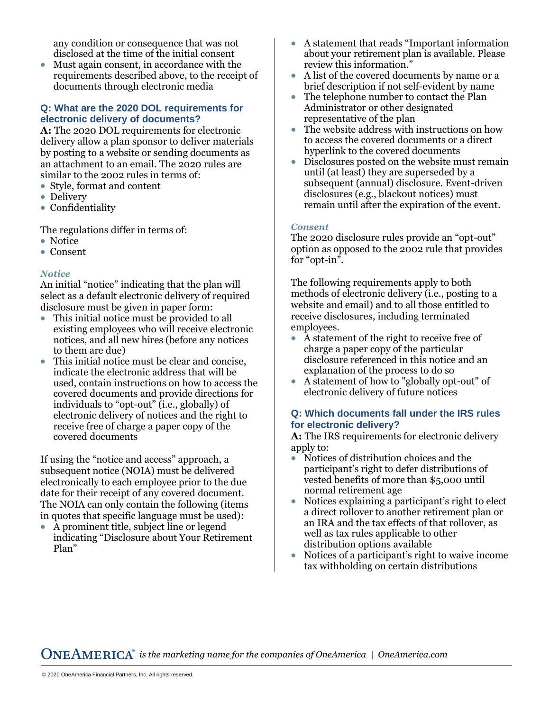any condition or consequence that was not disclosed at the time of the initial consent

• Must again consent, in accordance with the requirements described above, to the receipt of documents through electronic media

## **Q: What are the 2020 DOL requirements for electronic delivery of documents?**

**A:** The 2020 DOL requirements for electronic delivery allow a plan sponsor to deliver materials by posting to a website or sending documents as an attachment to an email. The 2020 rules are similar to the 2002 rules in terms of:

- Style, format and content
- Delivery
- Confidentiality

The regulations differ in terms of:

- Notice
- Consent

## *Notice*

An initial "notice" indicating that the plan will select as a default electronic delivery of required disclosure must be given in paper form:

- This initial notice must be provided to all existing employees who will receive electronic notices, and all new hires (before any notices to them are due)
- This initial notice must be clear and concise. indicate the electronic address that will be used, contain instructions on how to access the covered documents and provide directions for individuals to "opt-out" (i.e., globally) of electronic delivery of notices and the right to receive free of charge a paper copy of the covered documents

If using the "notice and access" approach, a subsequent notice (NOIA) must be delivered electronically to each employee prior to the due date for their receipt of any covered document. The NOIA can only contain the following (items in quotes that specific language must be used):

• A prominent title, subject line or legend indicating "Disclosure about Your Retirement Plan"

- A statement that reads "Important information about your retirement plan is available. Please review this information."
- A list of the covered documents by name or a brief description if not self-evident by name
- The telephone number to contact the Plan Administrator or other designated representative of the plan
- The website address with instructions on how to access the covered documents or a direct hyperlink to the covered documents
- Disclosures posted on the website must remain until (at least) they are superseded by a subsequent (annual) disclosure. Event-driven disclosures (e.g., blackout notices) must remain until after the expiration of the event.

#### *Consent*

The 2020 disclosure rules provide an "opt-out" option as opposed to the 2002 rule that provides for "opt-in".

The following requirements apply to both methods of electronic delivery (i.e., posting to a website and email) and to all those entitled to receive disclosures, including terminated employees.

- A statement of the right to receive free of charge a paper copy of the particular disclosure referenced in this notice and an explanation of the process to do so
- A statement of how to "globally opt-out" of electronic delivery of future notices

## **Q: Which documents fall under the IRS rules for electronic delivery?**

**A:** The IRS requirements for electronic delivery apply to:

- Notices of distribution choices and the participant's right to defer distributions of vested benefits of more than \$5,000 until normal retirement age
- Notices explaining a participant's right to elect a direct rollover to another retirement plan or an IRA and the tax effects of that rollover, as well as tax rules applicable to other distribution options available
- Notices of a participant's right to waive incom e tax withholding on certain distributions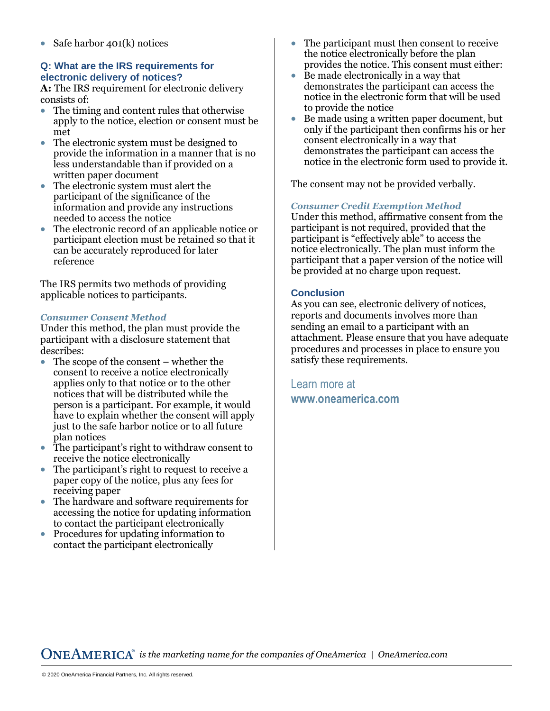plan notices

• Safe harbor 401(k) notices

consists of:<br>• The timi

met

reference

describes:

**electronic delivery of notices?** 

written paper document

needed to access the notice

applicable notices to participants.

*Consumer Consent Method* 

**Q: What are the IRS requirements for** 

**A:** The IRS requirement for electronic delivery

• The electronic system must be designed to

• The electronic system must alert the participant of the significance of the information and provide any instructions

• The timing and content rules that otherwise apply to the notice, election or consent must be

provide the information in a manner that is no less understandable than if provided on a

• The electronic record of an applicable notice or participant election must be retained so that it

can be accurately reproduced for later

The IRS permits two methods of providing

Under this method, the plan must provide the participant with a disclosure statement that

• The scope of the consent – whether the consent to receive a notice electronically applies only to that notice or to the other notices that will be distributed while the person is a participant. For example, it would have to explain whether the consent will apply just to the safe harbor notice or to all future

• The participant's right to request to receive a paper copy of the notice, plus any fees for receiving paper • The hardware and software requirements for

• The participant's right to withdraw consent to

receive the notice electronically

- accessing the notice for updating information to contact the participant electronically
- Procedures for updating information to contact the participant electronically
- The participant must then consent to receive the notice electronically before the plan provides the notice. This consent must either:
	- Be made electronically in a way that demonstrates the participant can access the notice in the electronic form that will be used to provide the notice
	- Be made using a written paper document, but only if the participant then confirms his or her consent electronically in a way that demonstrates the participant can access the notice in the electronic form used to provide it.

The consent may not be provided verbally.

# *Consumer Credit Exemption Method*

Under this method, affirmative consent from the participant is not required, provided that the participant is "effectively able" to access the notice electronically. The plan must inform the participant that a paper version of the notice will be provided at no charge upon request.

### **Conclusion**

As you can see, electronic delivery of notices, reports and documents involves more than sending an email to a participant with an attachment. Please ensure that you have adequate procedures and processes in place to ensure you satisfy these requirements.

Learn more at **<www.oneamerica.com>**